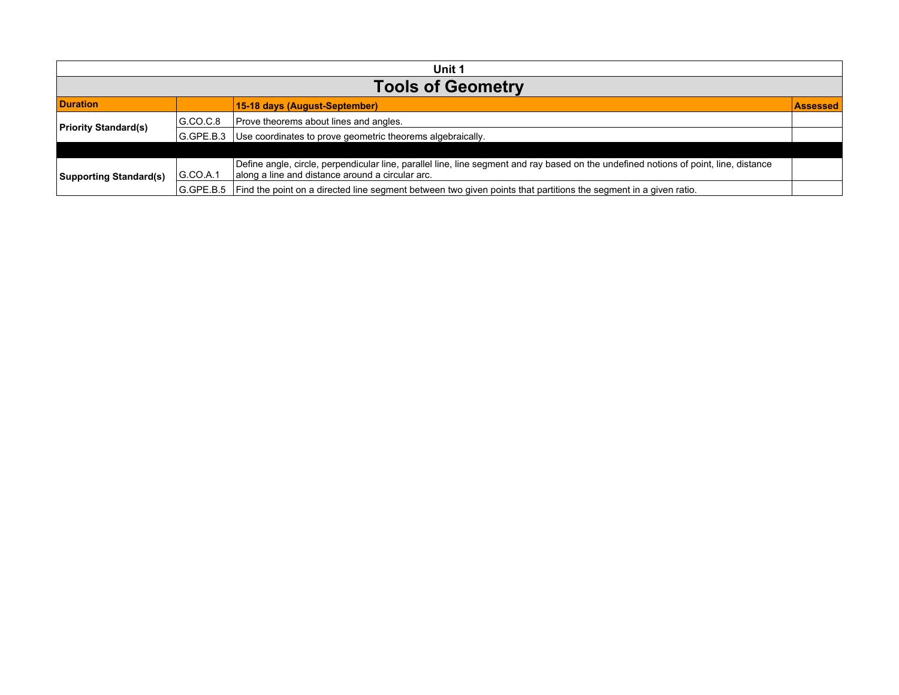| Unit 1                        |                          |                                                                                                                                                                                           |                 |  |  |
|-------------------------------|--------------------------|-------------------------------------------------------------------------------------------------------------------------------------------------------------------------------------------|-----------------|--|--|
|                               | <b>Tools of Geometry</b> |                                                                                                                                                                                           |                 |  |  |
| <b>Duration</b>               |                          | 15-18 days (August-September)                                                                                                                                                             | <b>Assessed</b> |  |  |
| <b>Priority Standard(s)</b>   | G.CO.C.8                 | Prove theorems about lines and angles.                                                                                                                                                    |                 |  |  |
|                               | I G.GPE.B.3              | Use coordinates to prove geometric theorems algebraically.                                                                                                                                |                 |  |  |
|                               |                          |                                                                                                                                                                                           |                 |  |  |
| <b>Supporting Standard(s)</b> | G.CO.A.1                 | Define angle, circle, perpendicular line, parallel line, line segment and ray based on the undefined notions of point, line, distance<br>along a line and distance around a circular arc. |                 |  |  |
|                               | G.GPE.B.5                | Find the point on a directed line segment between two given points that partitions the segment in a given ratio.                                                                          |                 |  |  |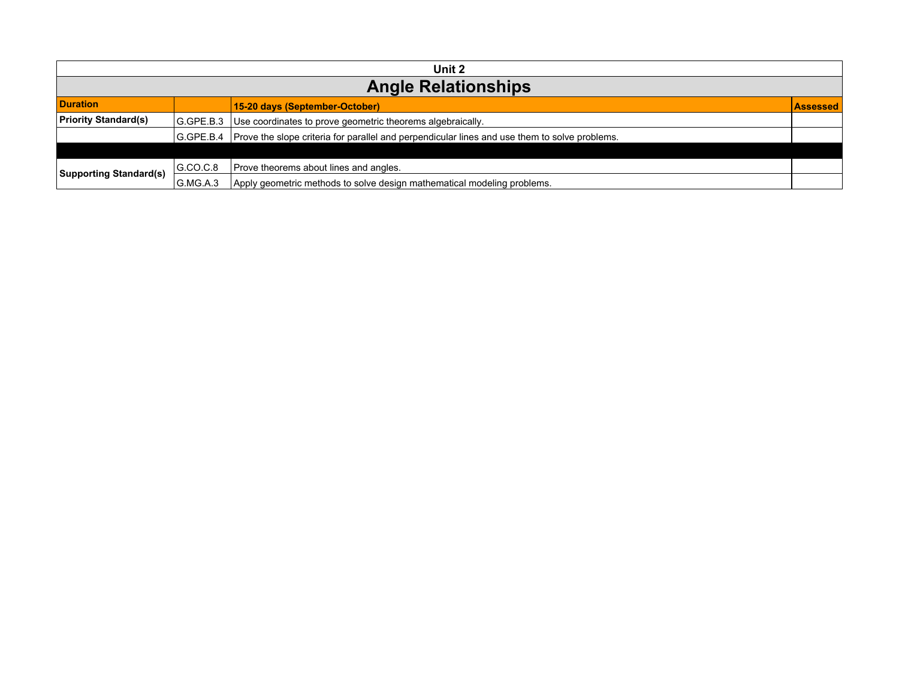| Unit 2                        |           |                                                                                                           |                 |  |
|-------------------------------|-----------|-----------------------------------------------------------------------------------------------------------|-----------------|--|
| <b>Angle Relationships</b>    |           |                                                                                                           |                 |  |
| <b>Duration</b>               |           | 15-20 days (September-October)                                                                            | <b>Assessed</b> |  |
| <b>Priority Standard(s)</b>   | G.GPE.B.3 | Use coordinates to prove geometric theorems algebraically.                                                |                 |  |
|                               |           | G.GPE.B.4   Prove the slope criteria for parallel and perpendicular lines and use them to solve problems. |                 |  |
|                               |           |                                                                                                           |                 |  |
| <b>Supporting Standard(s)</b> | GCO.C.8   | Prove theorems about lines and angles.                                                                    |                 |  |
|                               | G.MG.A.3  | Apply geometric methods to solve design mathematical modeling problems.                                   |                 |  |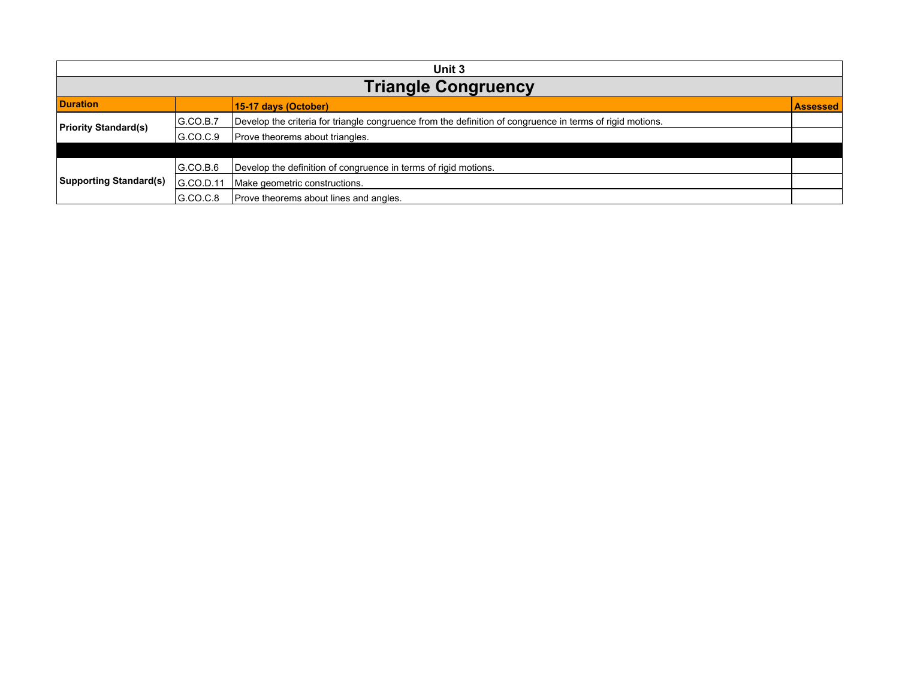| Unit 3                        |                            |                                                                                                           |                 |  |  |
|-------------------------------|----------------------------|-----------------------------------------------------------------------------------------------------------|-----------------|--|--|
|                               | <b>Triangle Congruency</b> |                                                                                                           |                 |  |  |
| <b>Duration</b>               |                            | 15-17 days (October)                                                                                      | <b>Assessed</b> |  |  |
| <b>Priority Standard(s)</b>   | G.CO.B.7                   | Develop the criteria for triangle congruence from the definition of congruence in terms of rigid motions. |                 |  |  |
|                               | G.CO.C.9                   | Prove theorems about triangles.                                                                           |                 |  |  |
|                               |                            |                                                                                                           |                 |  |  |
| <b>Supporting Standard(s)</b> | IG.CO.B.6                  | Develop the definition of congruence in terms of rigid motions.                                           |                 |  |  |
|                               | IG.CO.D.11                 | Make geometric constructions.                                                                             |                 |  |  |
|                               | IG.CO.C.8                  | Prove theorems about lines and angles.                                                                    |                 |  |  |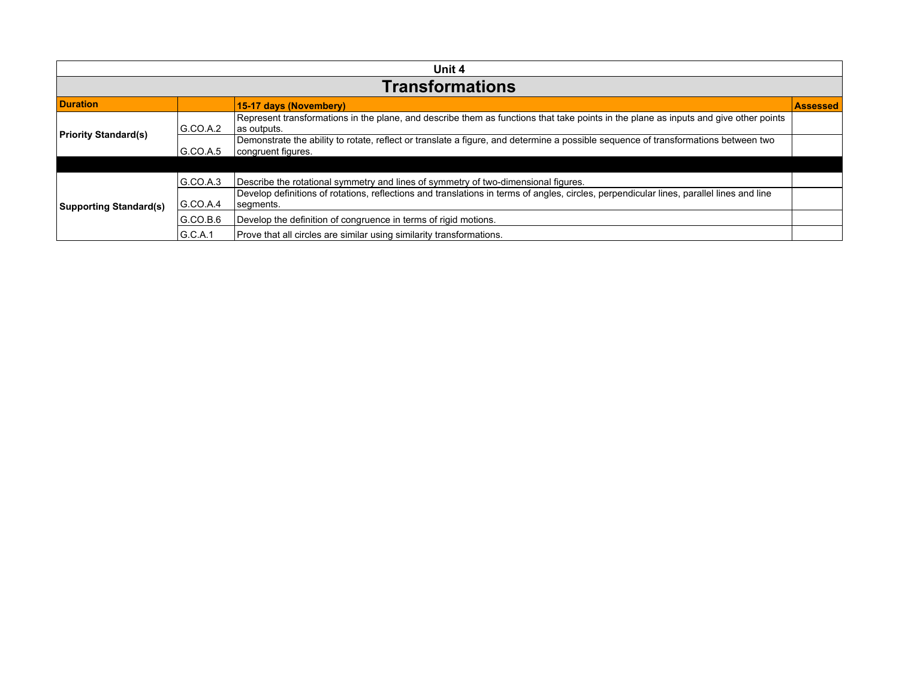| Unit 4                        |                        |                                                                                                                                                          |                 |  |  |
|-------------------------------|------------------------|----------------------------------------------------------------------------------------------------------------------------------------------------------|-----------------|--|--|
|                               | <b>Transformations</b> |                                                                                                                                                          |                 |  |  |
| <b>Duration</b>               |                        | 15-17 days (Novembery)                                                                                                                                   | <b>Assessed</b> |  |  |
| <b>Priority Standard(s)</b>   | G.CO.A.2               | Represent transformations in the plane, and describe them as functions that take points in the plane as inputs and give other points<br>∣as outputs.     |                 |  |  |
|                               | G.CO.A.5               | Demonstrate the ability to rotate, reflect or translate a figure, and determine a possible sequence of transformations between two<br>congruent figures. |                 |  |  |
|                               |                        |                                                                                                                                                          |                 |  |  |
|                               | G.CO.A.3               | Describe the rotational symmetry and lines of symmetry of two-dimensional figures.                                                                       |                 |  |  |
| <b>Supporting Standard(s)</b> | $ G$ .CO.A.4           | Develop definitions of rotations, reflections and translations in terms of angles, circles, perpendicular lines, parallel lines and line<br>segments.    |                 |  |  |
|                               | G.CO.B.6               | Develop the definition of congruence in terms of rigid motions.                                                                                          |                 |  |  |
|                               | G.C.A.1                | Prove that all circles are similar using similarity transformations.                                                                                     |                 |  |  |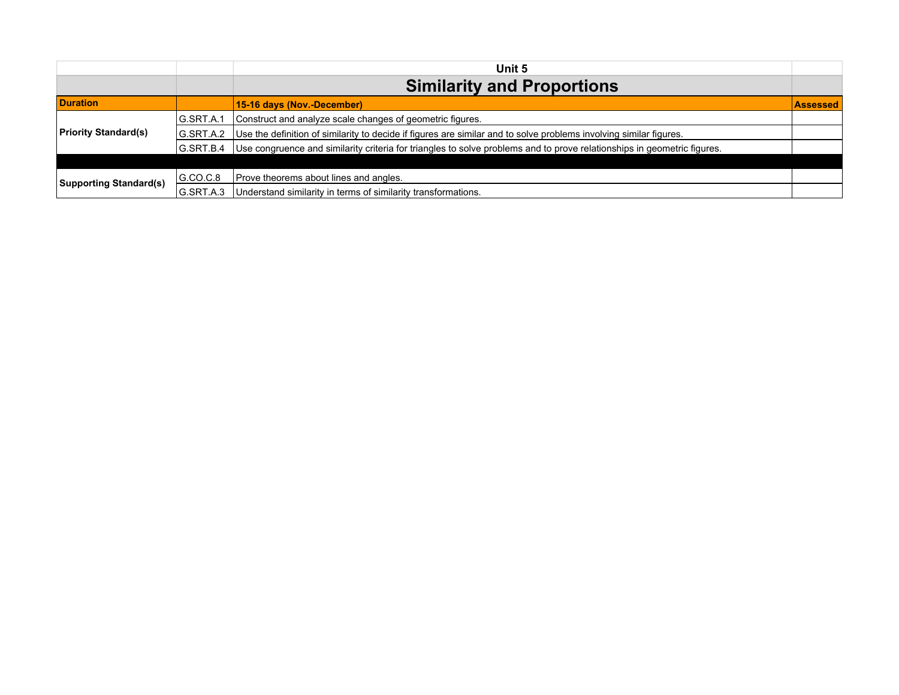|                               |           | Unit 5                                                                                                                  |                 |
|-------------------------------|-----------|-------------------------------------------------------------------------------------------------------------------------|-----------------|
|                               |           | <b>Similarity and Proportions</b>                                                                                       |                 |
| <b>Duration</b>               |           | 15-16 days (Nov.-December)                                                                                              | <b>Assessed</b> |
|                               | G.SRT.A.1 | Construct and analyze scale changes of geometric figures.                                                               |                 |
| <b>Priority Standard(s)</b>   | G.SRT.A.2 | Use the definition of similarity to decide if figures are similar and to solve problems involving similar figures.      |                 |
|                               | G.SRT.B.4 | Use congruence and similarity criteria for triangles to solve problems and to prove relationships in geometric figures. |                 |
|                               |           |                                                                                                                         |                 |
| <b>Supporting Standard(s)</b> | G.CO.C.8  | Prove theorems about lines and angles.                                                                                  |                 |
|                               | G.SRT.A.3 | Understand similarity in terms of similarity transformations.                                                           |                 |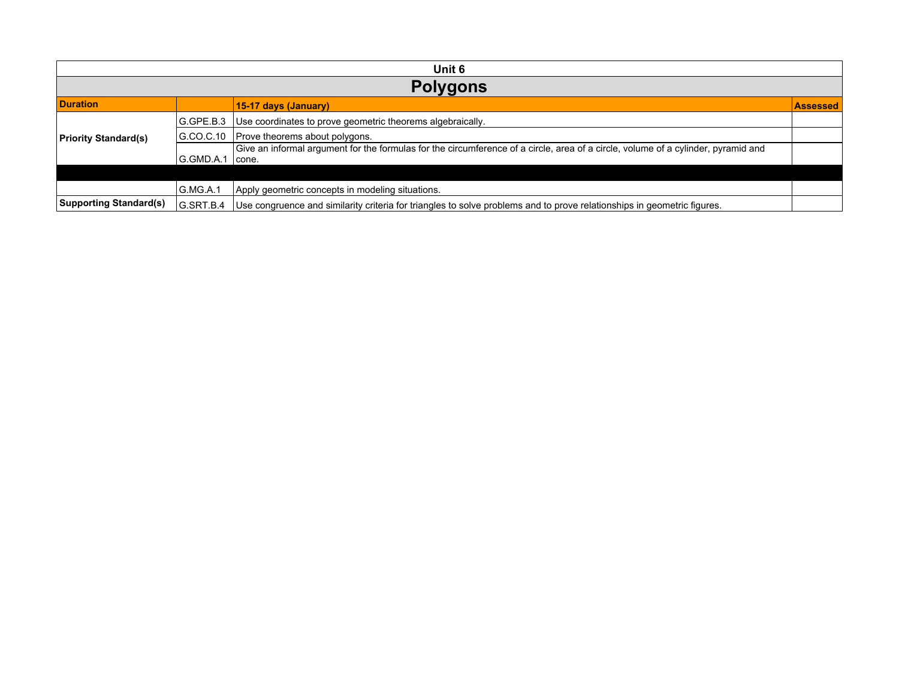| Unit 6                        |                 |                                                                                                                                            |                 |  |  |
|-------------------------------|-----------------|--------------------------------------------------------------------------------------------------------------------------------------------|-----------------|--|--|
|                               | <b>Polygons</b> |                                                                                                                                            |                 |  |  |
| <b>Duration</b>               |                 | 15-17 days (January)                                                                                                                       | <b>Assessed</b> |  |  |
|                               | G.GPE.B.3       | Use coordinates to prove geometric theorems algebraically.                                                                                 |                 |  |  |
| <b>Priority Standard(s)</b>   | GCOC.10         | Prove theorems about polygons.                                                                                                             |                 |  |  |
|                               | G.GMD.A.1       | Give an informal argument for the formulas for the circumference of a circle, area of a circle, volume of a cylinder, pyramid and<br>cone. |                 |  |  |
|                               |                 |                                                                                                                                            |                 |  |  |
|                               | G.MG.A.1        | Apply geometric concepts in modeling situations.                                                                                           |                 |  |  |
| <b>Supporting Standard(s)</b> | G.SRT.B.4       | Use congruence and similarity criteria for triangles to solve problems and to prove relationships in geometric figures.                    |                 |  |  |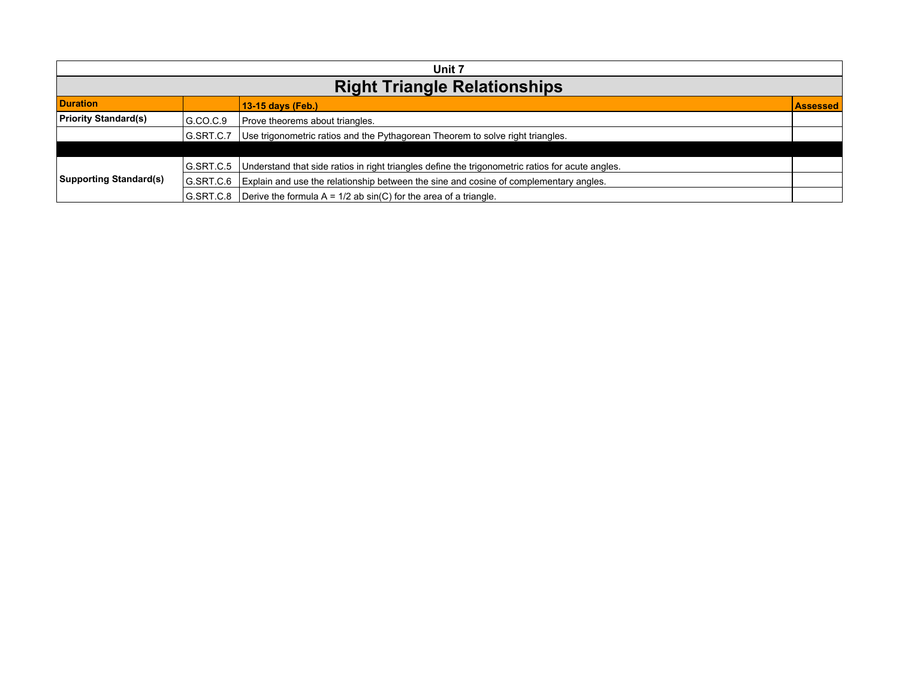| Unit 7                        |                                     |                                                                                                  |                 |  |
|-------------------------------|-------------------------------------|--------------------------------------------------------------------------------------------------|-----------------|--|
|                               | <b>Right Triangle Relationships</b> |                                                                                                  |                 |  |
| <b>Duration</b>               |                                     | 13-15 days (Feb.)                                                                                | <b>Assessed</b> |  |
| <b>Priority Standard(s)</b>   | G.CO.C.9                            | Prove theorems about triangles.                                                                  |                 |  |
|                               | G.SRT.C.7                           | Use trigonometric ratios and the Pythagorean Theorem to solve right triangles.                   |                 |  |
|                               |                                     |                                                                                                  |                 |  |
| <b>Supporting Standard(s)</b> | G.SRT.C.5                           | Understand that side ratios in right triangles define the trigonometric ratios for acute angles. |                 |  |
|                               | IG.SRT.C.6                          | Explain and use the relationship between the sine and cosine of complementary angles.            |                 |  |
|                               | G.SRT.C.8                           | Derive the formula $A = 1/2$ ab sin(C) for the area of a triangle.                               |                 |  |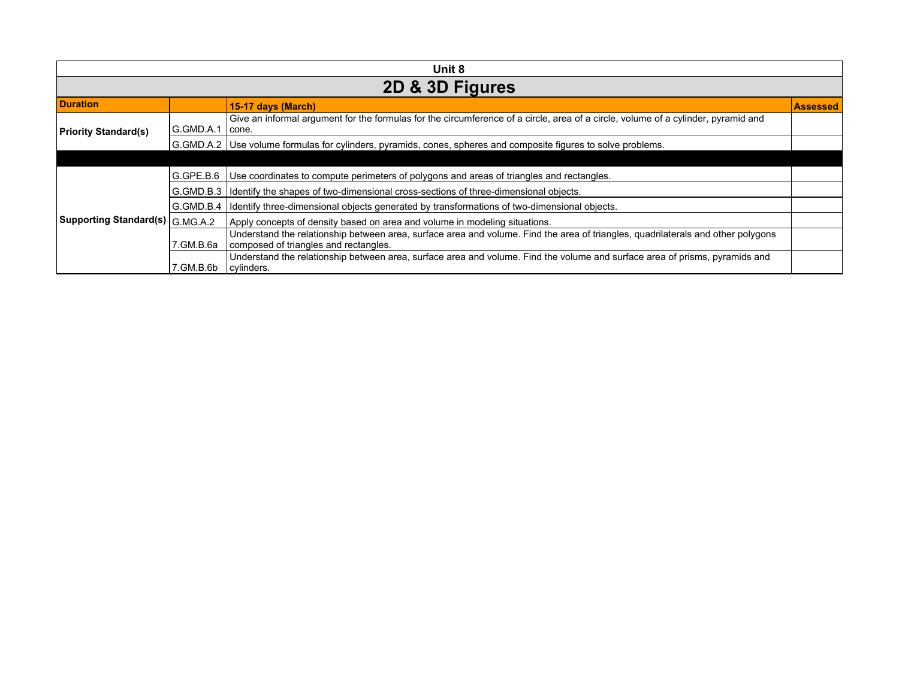| Unit 8                            |            |                                                                                                                                                                           |                 |  |
|-----------------------------------|------------|---------------------------------------------------------------------------------------------------------------------------------------------------------------------------|-----------------|--|
| 2D & 3D Figures                   |            |                                                                                                                                                                           |                 |  |
| <b>Duration</b>                   |            | 15-17 days (March)                                                                                                                                                        | <b>Assessed</b> |  |
| <b>Priority Standard(s)</b>       | G.GMD.A.1  | Give an informal argument for the formulas for the circumference of a circle, area of a circle, volume of a cylinder, pyramid and<br>cone.                                |                 |  |
|                                   |            | G.GMD.A.2 Use volume formulas for cylinders, pyramids, cones, spheres and composite figures to solve problems.                                                            |                 |  |
|                                   |            |                                                                                                                                                                           |                 |  |
|                                   | G.GPE.B.6  | Use coordinates to compute perimeters of polygons and areas of triangles and rectangles.                                                                                  |                 |  |
|                                   | G.GMD.B.3  | Identify the shapes of two-dimensional cross-sections of three-dimensional objects.                                                                                       |                 |  |
|                                   | IG.GMD.B.4 | Identify three-dimensional objects generated by transformations of two-dimensional objects.                                                                               |                 |  |
| Supporting Standard(s)   G.MG.A.2 |            | Apply concepts of density based on area and volume in modeling situations.                                                                                                |                 |  |
|                                   | 7.GM.B.6a  | Understand the relationship between area, surface area and volume. Find the area of triangles, quadrilaterals and other polygons<br>composed of triangles and rectangles. |                 |  |
|                                   | 7.GM.B.6b  | Understand the relationship between area, surface area and volume. Find the volume and surface area of prisms, pyramids and<br>cylinders.                                 |                 |  |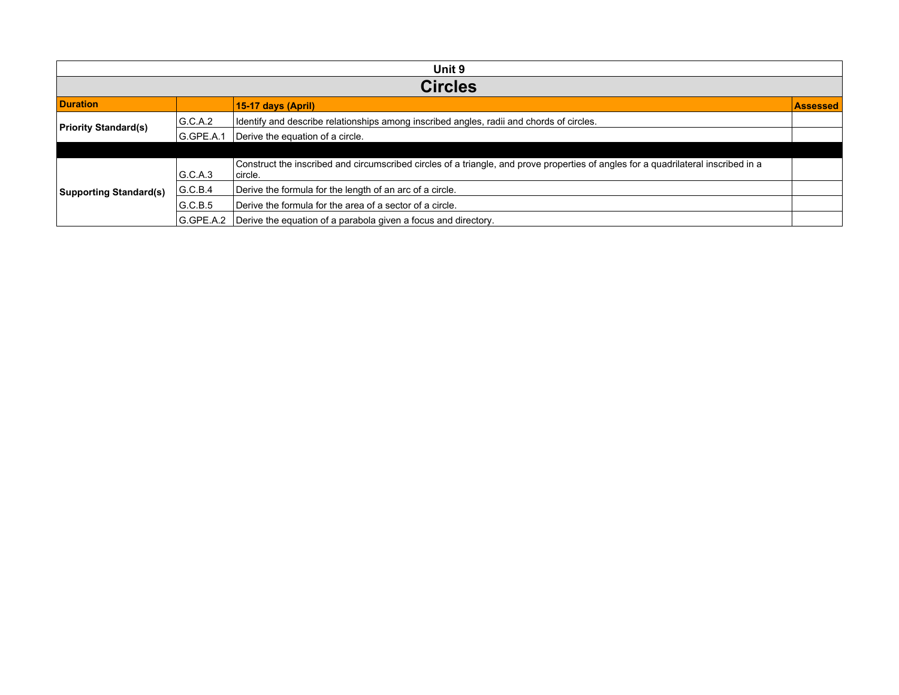| Unit 9                        |                |                                                                                                                                               |                 |  |  |
|-------------------------------|----------------|-----------------------------------------------------------------------------------------------------------------------------------------------|-----------------|--|--|
|                               | <b>Circles</b> |                                                                                                                                               |                 |  |  |
| <b>Duration</b>               |                | 15-17 days (April)                                                                                                                            | <b>Assessed</b> |  |  |
| <b>Priority Standard(s)</b>   | G.C.A.2        | I dentify and describe relationships among inscribed angles, radii and chords of circles.                                                     |                 |  |  |
|                               | G.GPE.A.1      | Derive the equation of a circle.                                                                                                              |                 |  |  |
|                               |                |                                                                                                                                               |                 |  |  |
|                               | G.C.A.3        | Construct the inscribed and circumscribed circles of a triangle, and prove properties of angles for a quadrilateral inscribed in a<br>circle. |                 |  |  |
| <b>Supporting Standard(s)</b> | G.C.B.4        | Derive the formula for the length of an arc of a circle.                                                                                      |                 |  |  |
|                               | G.C.B.5        | Derive the formula for the area of a sector of a circle.                                                                                      |                 |  |  |
|                               | G.GPE.A.2      | Derive the equation of a parabola given a focus and directory.                                                                                |                 |  |  |